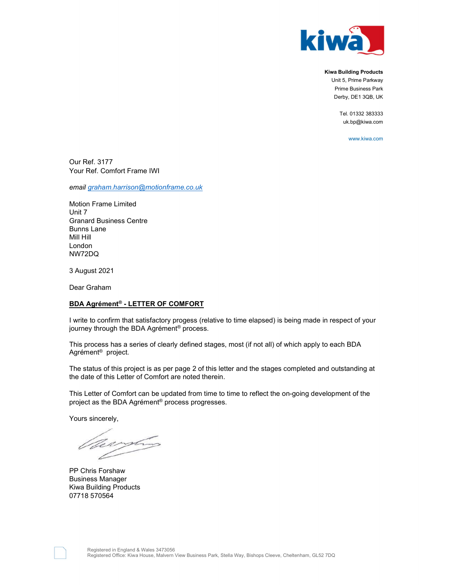

Kiwa Building Products Unit 5, Prime Parkway Prime Business Park Derby, DE1 3QB, UK

> Tel. 01332 383333 uk.bp@kiwa.com

> > www.kiwa.com

Our Ref. 3177 Your Ref. Comfort Frame IWI

email graham.harrison@motionframe.co.uk

Motion Frame Limited Unit 7 Granard Business Centre Bunns Lane Mill Hill London NW72DQ

3 August 2021

Dear Graham

## BDA Agrément® - LETTER OF COMFORT

I write to confirm that satisfactory progess (relative to time elapsed) is being made in respect of your journey through the BDA Agrément® process.

This process has a series of clearly defined stages, most (if not all) of which apply to each BDA Agrément® project.

The status of this project is as per page 2 of this letter and the stages completed and outstanding at the date of this Letter of Comfort are noted therein.

This Letter of Comfort can be updated from time to time to reflect the on-going development of the project as the BDA Agrément® process progresses.

Yours sincerely,

Veryting

PP Chris Forshaw Business Manager Kiwa Building Products 07718 570564